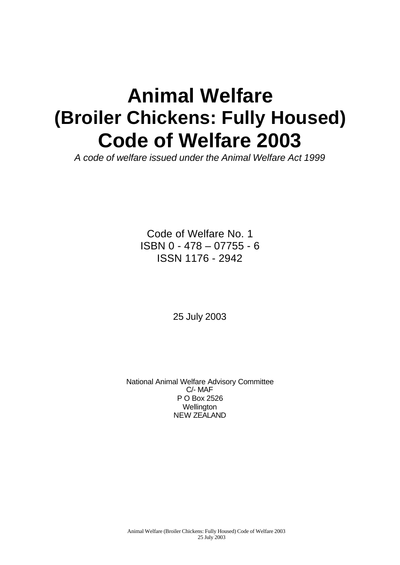# **Animal Welfare (Broiler Chickens: Fully Housed) Code of Welfare 2003**

*A code of welfare issued under the Animal Welfare Act 1999*

Code of Welfare No. 1 ISBN 0 - 478 – 07755 - 6 ISSN 1176 - 2942

25 July 2003

National Animal Welfare Advisory Committee C/- MAF P O Box 2526 **Wellington** NEW ZEALAND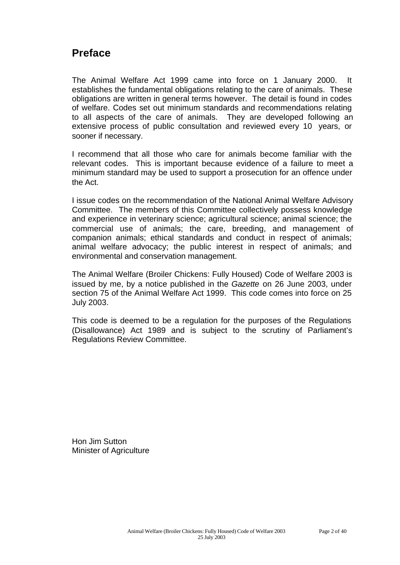# **Preface**

The Animal Welfare Act 1999 came into force on 1 January 2000. It establishes the fundamental obligations relating to the care of animals. These obligations are written in general terms however. The detail is found in codes of welfare. Codes set out minimum standards and recommendations relating to all aspects of the care of animals. They are developed following an extensive process of public consultation and reviewed every 10 years, or sooner if necessary.

I recommend that all those who care for animals become familiar with the relevant codes. This is important because evidence of a failure to meet a minimum standard may be used to support a prosecution for an offence under the Act.

I issue codes on the recommendation of the National Animal Welfare Advisory Committee. The members of this Committee collectively possess knowledge and experience in veterinary science; agricultural science; animal science; the commercial use of animals; the care, breeding, and management of companion animals; ethical standards and conduct in respect of animals; animal welfare advocacy; the public interest in respect of animals; and environmental and conservation management.

The Animal Welfare (Broiler Chickens: Fully Housed) Code of Welfare 2003 is issued by me, by a notice published in the *Gazette* on 26 June 2003, under section 75 of the Animal Welfare Act 1999. This code comes into force on 25 July 2003.

This code is deemed to be a regulation for the purposes of the Regulations (Disallowance) Act 1989 and is subject to the scrutiny of Parliament's Regulations Review Committee.

Hon Jim Sutton Minister of Agriculture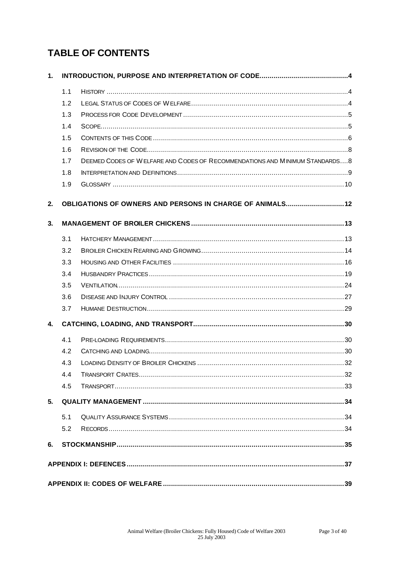# **TABLE OF CONTENTS**

| 1.       |     |                                                                             |  |  |  |  |  |
|----------|-----|-----------------------------------------------------------------------------|--|--|--|--|--|
|          | 1.1 |                                                                             |  |  |  |  |  |
|          | 1.2 |                                                                             |  |  |  |  |  |
|          | 1.3 |                                                                             |  |  |  |  |  |
|          | 1.4 |                                                                             |  |  |  |  |  |
|          | 1.5 |                                                                             |  |  |  |  |  |
|          | 1.6 |                                                                             |  |  |  |  |  |
|          | 1.7 | DEEMED CODES OF WELFARE AND CODES OF RECOMMENDATIONS AND MINIMUM STANDARDS8 |  |  |  |  |  |
|          | 1.8 |                                                                             |  |  |  |  |  |
|          | 1.9 |                                                                             |  |  |  |  |  |
| 2.<br>3. |     | <b>OBLIGATIONS OF OWNERS AND PERSONS IN CHARGE OF ANIMALS 12</b>            |  |  |  |  |  |
|          | 3.1 |                                                                             |  |  |  |  |  |
|          | 3.2 |                                                                             |  |  |  |  |  |
|          | 3.3 |                                                                             |  |  |  |  |  |
|          | 3.4 |                                                                             |  |  |  |  |  |
|          | 3.5 |                                                                             |  |  |  |  |  |
|          | 3.6 |                                                                             |  |  |  |  |  |
|          | 3.7 |                                                                             |  |  |  |  |  |
| 4.       |     |                                                                             |  |  |  |  |  |
|          | 4.1 |                                                                             |  |  |  |  |  |
|          | 4.2 |                                                                             |  |  |  |  |  |
|          | 4.3 |                                                                             |  |  |  |  |  |
|          | 4.4 |                                                                             |  |  |  |  |  |
|          | 4.5 |                                                                             |  |  |  |  |  |
| 5.       |     |                                                                             |  |  |  |  |  |
|          | 5.1 |                                                                             |  |  |  |  |  |
|          | 5.2 |                                                                             |  |  |  |  |  |
| 6.       |     |                                                                             |  |  |  |  |  |
|          |     |                                                                             |  |  |  |  |  |
|          |     |                                                                             |  |  |  |  |  |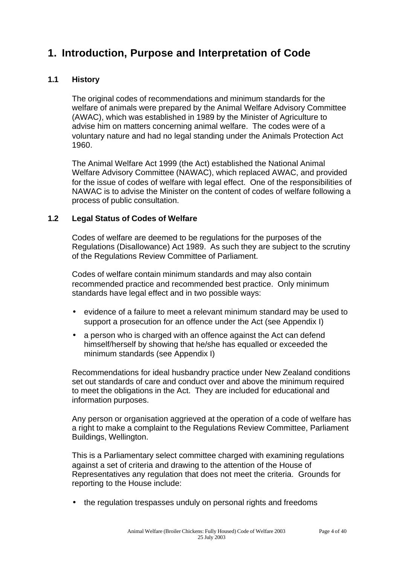# **1. Introduction, Purpose and Interpretation of Code**

#### **1.1 History**

The original codes of recommendations and minimum standards for the welfare of animals were prepared by the Animal Welfare Advisory Committee (AWAC), which was established in 1989 by the Minister of Agriculture to advise him on matters concerning animal welfare. The codes were of a voluntary nature and had no legal standing under the Animals Protection Act 1960.

The Animal Welfare Act 1999 (the Act) established the National Animal Welfare Advisory Committee (NAWAC), which replaced AWAC, and provided for the issue of codes of welfare with legal effect. One of the responsibilities of NAWAC is to advise the Minister on the content of codes of welfare following a process of public consultation.

#### **1.2 Legal Status of Codes of Welfare**

Codes of welfare are deemed to be regulations for the purposes of the Regulations (Disallowance) Act 1989. As such they are subject to the scrutiny of the Regulations Review Committee of Parliament.

Codes of welfare contain minimum standards and may also contain recommended practice and recommended best practice. Only minimum standards have legal effect and in two possible ways:

- evidence of a failure to meet a relevant minimum standard may be used to support a prosecution for an offence under the Act (see Appendix I)
- a person who is charged with an offence against the Act can defend himself/herself by showing that he/she has equalled or exceeded the minimum standards (see Appendix I)

Recommendations for ideal husbandry practice under New Zealand conditions set out standards of care and conduct over and above the minimum required to meet the obligations in the Act. They are included for educational and information purposes.

Any person or organisation aggrieved at the operation of a code of welfare has a right to make a complaint to the Regulations Review Committee, Parliament Buildings, Wellington.

This is a Parliamentary select committee charged with examining regulations against a set of criteria and drawing to the attention of the House of Representatives any regulation that does not meet the criteria. Grounds for reporting to the House include:

• the regulation trespasses unduly on personal rights and freedoms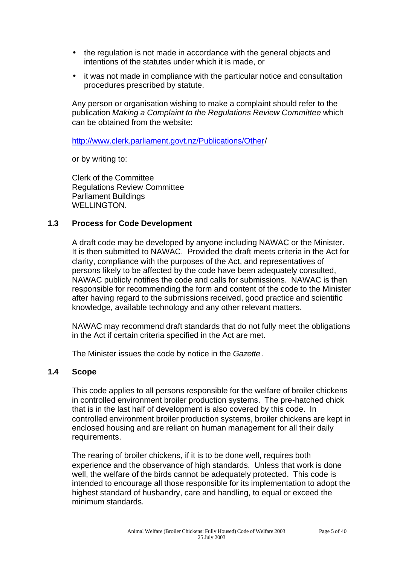- the regulation is not made in accordance with the general objects and intentions of the statutes under which it is made, or
- it was not made in compliance with the particular notice and consultation procedures prescribed by statute.

Any person or organisation wishing to make a complaint should refer to the publication *Making a Complaint to the Regulations Review Committee* which can be obtained from the website:

<http://www.clerk.parliament.govt.nz/Publications/Other/>

or by writing to:

Clerk of the Committee Regulations Review Committee Parliament Buildings WELLINGTON.

#### **1.3 Process for Code Development**

A draft code may be developed by anyone including NAWAC or the Minister. It is then submitted to NAWAC. Provided the draft meets criteria in the Act for clarity, compliance with the purposes of the Act, and representatives of persons likely to be affected by the code have been adequately consulted, NAWAC publicly notifies the code and calls for submissions. NAWAC is then responsible for recommending the form and content of the code to the Minister after having regard to the submissions received, good practice and scientific knowledge, available technology and any other relevant matters.

NAWAC may recommend draft standards that do not fully meet the obligations in the Act if certain criteria specified in the Act are met.

The Minister issues the code by notice in the *Gazette*.

#### **1.4 Scope**

This code applies to all persons responsible for the welfare of broiler chickens in controlled environment broiler production systems. The pre-hatched chick that is in the last half of development is also covered by this code. In controlled environment broiler production systems, broiler chickens are kept in enclosed housing and are reliant on human management for all their daily requirements.

The rearing of broiler chickens, if it is to be done well, requires both experience and the observance of high standards. Unless that work is done well, the welfare of the birds cannot be adequately protected. This code is intended to encourage all those responsible for its implementation to adopt the highest standard of husbandry, care and handling, to equal or exceed the minimum standards.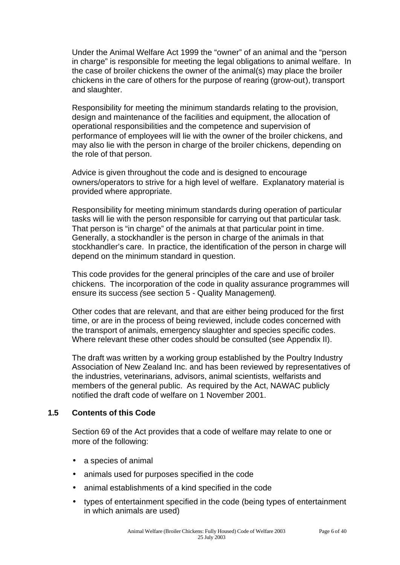Under the Animal Welfare Act 1999 the "owner" of an animal and the "person in charge" is responsible for meeting the legal obligations to animal welfare. In the case of broiler chickens the owner of the animal(s) may place the broiler chickens in the care of others for the purpose of rearing (grow-out), transport and slaughter.

Responsibility for meeting the minimum standards relating to the provision, design and maintenance of the facilities and equipment, the allocation of operational responsibilities and the competence and supervision of performance of employees will lie with the owner of the broiler chickens, and may also lie with the person in charge of the broiler chickens, depending on the role of that person.

Advice is given throughout the code and is designed to encourage owners/operators to strive for a high level of welfare. Explanatory material is provided where appropriate.

Responsibility for meeting minimum standards during operation of particular tasks will lie with the person responsible for carrying out that particular task. That person is "in charge" of the animals at that particular point in time. Generally, a stockhandler is the person in charge of the animals in that stockhandler's care. In practice, the identification of the person in charge will depend on the minimum standard in question.

This code provides for the general principles of the care and use of broiler chickens. The incorporation of the code in quality assurance programmes will ensure its success *(*see section 5 - Quality Management*).*

Other codes that are relevant, and that are either being produced for the first time, or are in the process of being reviewed, include codes concerned with the transport of animals, emergency slaughter and species specific codes. Where relevant these other codes should be consulted (see Appendix II).

The draft was written by a working group established by the Poultry Industry Association of New Zealand Inc. and has been reviewed by representatives of the industries, veterinarians, advisors, animal scientists, welfarists and members of the general public. As required by the Act, NAWAC publicly notified the draft code of welfare on 1 November 2001.

#### **1.5 Contents of this Code**

Section 69 of the Act provides that a code of welfare may relate to one or more of the following:

- a species of animal
- animals used for purposes specified in the code
- animal establishments of a kind specified in the code
- types of entertainment specified in the code (being types of entertainment in which animals are used)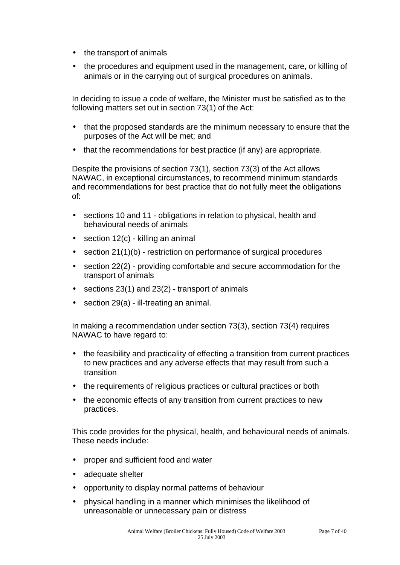- the transport of animals
- the procedures and equipment used in the management, care, or killing of animals or in the carrying out of surgical procedures on animals.

In deciding to issue a code of welfare, the Minister must be satisfied as to the following matters set out in section 73(1) of the Act:

- that the proposed standards are the minimum necessary to ensure that the purposes of the Act will be met; and
- that the recommendations for best practice (if any) are appropriate.

Despite the provisions of section 73(1), section 73(3) of the Act allows NAWAC, in exceptional circumstances, to recommend minimum standards and recommendations for best practice that do not fully meet the obligations of:

- sections 10 and 11 obligations in relation to physical, health and behavioural needs of animals
- section 12(c) killing an animal
- section 21(1)(b) restriction on performance of surgical procedures
- section 22(2) providing comfortable and secure accommodation for the transport of animals
- sections  $23(1)$  and  $23(2)$  transport of animals
- section 29(a) ill-treating an animal.

In making a recommendation under section 73(3), section 73(4) requires NAWAC to have regard to:

- the feasibility and practicality of effecting a transition from current practices to new practices and any adverse effects that may result from such a transition
- the requirements of religious practices or cultural practices or both
- the economic effects of any transition from current practices to new practices.

This code provides for the physical, health, and behavioural needs of animals. These needs include:

- proper and sufficient food and water
- adequate shelter
- opportunity to display normal patterns of behaviour
- physical handling in a manner which minimises the likelihood of unreasonable or unnecessary pain or distress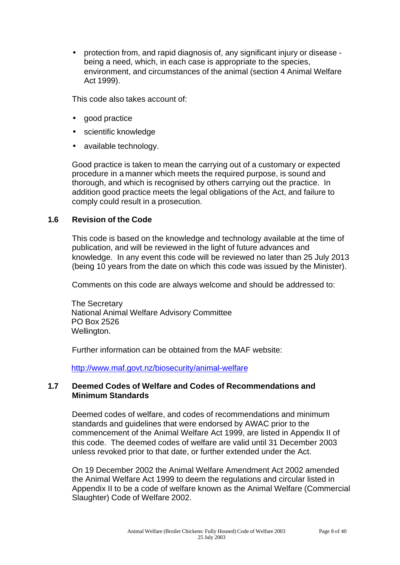• protection from, and rapid diagnosis of, any significant injury or disease being a need, which, in each case is appropriate to the species, environment, and circumstances of the animal (section 4 Animal Welfare Act 1999).

This code also takes account of:

- good practice
- scientific knowledge
- available technology.

Good practice is taken to mean the carrying out of a customary or expected procedure in a manner which meets the required purpose, is sound and thorough, and which is recognised by others carrying out the practice. In addition good practice meets the legal obligations of the Act, and failure to comply could result in a prosecution.

#### **1.6 Revision of the Code**

This code is based on the knowledge and technology available at the time of publication, and will be reviewed in the light of future advances and knowledge. In any event this code will be reviewed no later than 25 July 2013 (being 10 years from the date on which this code was issued by the Minister).

Comments on this code are always welcome and should be addressed to:

The Secretary National Animal Welfare Advisory Committee PO Box 2526 Wellington.

Further information can be obtained from the MAF website:

<http://www.maf.govt.nz/biosecurity/animal-welfare>

#### **1.7 Deemed Codes of Welfare and Codes of Recommendations and Minimum Standards**

Deemed codes of welfare, and codes of recommendations and minimum standards and guidelines that were endorsed by AWAC prior to the commencement of the Animal Welfare Act 1999, are listed in Appendix II of this code. The deemed codes of welfare are valid until 31 December 2003 unless revoked prior to that date, or further extended under the Act.

On 19 December 2002 the Animal Welfare Amendment Act 2002 amended the Animal Welfare Act 1999 to deem the regulations and circular listed in Appendix II to be a code of welfare known as the Animal Welfare (Commercial Slaughter) Code of Welfare 2002.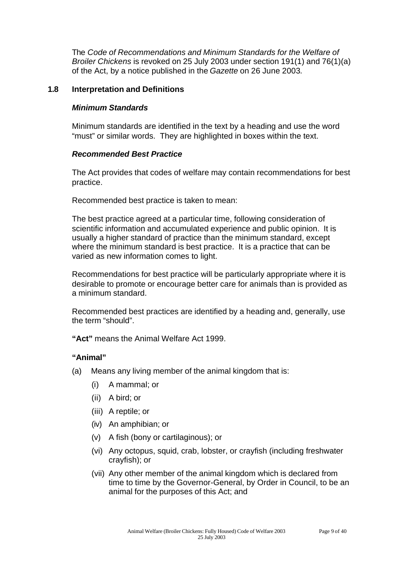The *Code of Recommendations and Minimum Standards for the Welfare of Broiler Chickens* is revoked on 25 July 2003 under section 191(1) and 76(1)(a) of the Act, by a notice published in the *Gazette* on 26 June 2003*.*

#### **1.8 Interpretation and Definitions**

#### *Minimum Standards*

Minimum standards are identified in the text by a heading and use the word "must" or similar words. They are highlighted in boxes within the text.

#### *Recommended Best Practice*

The Act provides that codes of welfare may contain recommendations for best practice.

Recommended best practice is taken to mean:

The best practice agreed at a particular time, following consideration of scientific information and accumulated experience and public opinion. It is usually a higher standard of practice than the minimum standard, except where the minimum standard is best practice. It is a practice that can be varied as new information comes to light.

Recommendations for best practice will be particularly appropriate where it is desirable to promote or encourage better care for animals than is provided as a minimum standard.

Recommended best practices are identified by a heading and, generally, use the term "should".

**"Act"** means the Animal Welfare Act 1999.

#### **"Animal"**

- (a) Means any living member of the animal kingdom that is:
	- (i) A mammal; or
	- (ii) A bird; or
	- (iii) A reptile; or
	- (iv) An amphibian; or
	- (v) A fish (bony or cartilaginous); or
	- (vi) Any octopus, squid, crab, lobster, or crayfish (including freshwater crayfish); or
	- (vii) Any other member of the animal kingdom which is declared from time to time by the Governor-General, by Order in Council, to be an animal for the purposes of this Act; and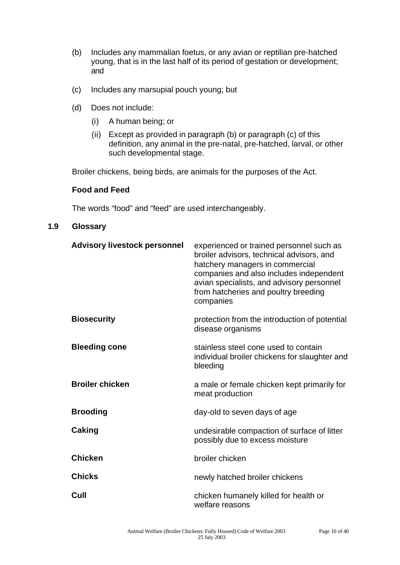- (b) Includes any mammalian foetus, or any avian or reptilian pre-hatched young, that is in the last half of its period of gestation or development; and
- (c) Includes any marsupial pouch young; but
- (d) Does not include:
	- (i) A human being; or
	- (ii) Except as provided in paragraph (b) or paragraph (c) of this definition, any animal in the pre-natal, pre-hatched, larval, or other such developmental stage.

Broiler chickens, being birds, are animals for the purposes of the Act.

#### **Food and Feed**

The words "food" and "feed" are used interchangeably.

#### **1.9 Glossary**

| <b>Advisory livestock personnel</b> | experienced or trained personnel such as<br>broiler advisors, technical advisors, and<br>hatchery managers in commercial<br>companies and also includes independent<br>avian specialists, and advisory personnel<br>from hatcheries and poultry breeding<br>companies |
|-------------------------------------|-----------------------------------------------------------------------------------------------------------------------------------------------------------------------------------------------------------------------------------------------------------------------|
| <b>Biosecurity</b>                  | protection from the introduction of potential<br>disease organisms                                                                                                                                                                                                    |
| <b>Bleeding cone</b>                | stainless steel cone used to contain<br>individual broiler chickens for slaughter and<br>bleeding                                                                                                                                                                     |
| <b>Broiler chicken</b>              | a male or female chicken kept primarily for<br>meat production                                                                                                                                                                                                        |
| <b>Brooding</b>                     | day-old to seven days of age                                                                                                                                                                                                                                          |
| Caking                              | undesirable compaction of surface of litter<br>possibly due to excess moisture                                                                                                                                                                                        |
| <b>Chicken</b>                      | broiler chicken                                                                                                                                                                                                                                                       |
| <b>Chicks</b>                       | newly hatched broiler chickens                                                                                                                                                                                                                                        |
| Cull                                | chicken humanely killed for health or<br>welfare reasons                                                                                                                                                                                                              |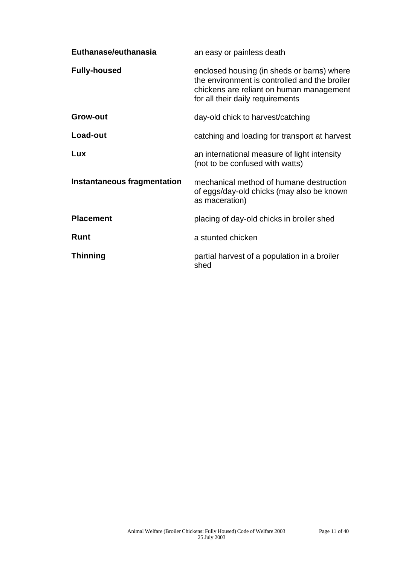| Euthanase/euthanasia               | an easy or painless death                                                                                                                                                   |  |
|------------------------------------|-----------------------------------------------------------------------------------------------------------------------------------------------------------------------------|--|
| <b>Fully-housed</b>                | enclosed housing (in sheds or barns) where<br>the environment is controlled and the broiler<br>chickens are reliant on human management<br>for all their daily requirements |  |
| <b>Grow-out</b>                    | day-old chick to harvest/catching                                                                                                                                           |  |
| Load-out                           | catching and loading for transport at harvest                                                                                                                               |  |
| Lux                                | an international measure of light intensity<br>(not to be confused with watts)                                                                                              |  |
| <b>Instantaneous fragmentation</b> | mechanical method of humane destruction<br>of eggs/day-old chicks (may also be known<br>as maceration)                                                                      |  |
| <b>Placement</b>                   | placing of day-old chicks in broiler shed                                                                                                                                   |  |
| <b>Runt</b>                        | a stunted chicken                                                                                                                                                           |  |
| <b>Thinning</b>                    | partial harvest of a population in a broiler<br>shed                                                                                                                        |  |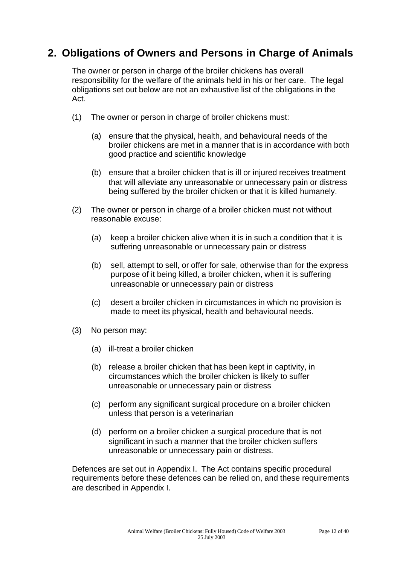# **2. Obligations of Owners and Persons in Charge of Animals**

The owner or person in charge of the broiler chickens has overall responsibility for the welfare of the animals held in his or her care. The legal obligations set out below are not an exhaustive list of the obligations in the Act.

- (1) The owner or person in charge of broiler chickens must:
	- (a) ensure that the physical, health, and behavioural needs of the broiler chickens are met in a manner that is in accordance with both good practice and scientific knowledge
	- (b) ensure that a broiler chicken that is ill or injured receives treatment that will alleviate any unreasonable or unnecessary pain or distress being suffered by the broiler chicken or that it is killed humanely.
- (2) The owner or person in charge of a broiler chicken must not without reasonable excuse:
	- (a) keep a broiler chicken alive when it is in such a condition that it is suffering unreasonable or unnecessary pain or distress
	- (b) sell, attempt to sell, or offer for sale, otherwise than for the express purpose of it being killed, a broiler chicken, when it is suffering unreasonable or unnecessary pain or distress
	- (c) desert a broiler chicken in circumstances in which no provision is made to meet its physical, health and behavioural needs.
- (3) No person may:
	- (a) ill-treat a broiler chicken
	- (b) release a broiler chicken that has been kept in captivity, in circumstances which the broiler chicken is likely to suffer unreasonable or unnecessary pain or distress
	- (c) perform any significant surgical procedure on a broiler chicken unless that person is a veterinarian
	- (d) perform on a broiler chicken a surgical procedure that is not significant in such a manner that the broiler chicken suffers unreasonable or unnecessary pain or distress.

Defences are set out in Appendix I. The Act contains specific procedural requirements before these defences can be relied on, and these requirements are described in Appendix I.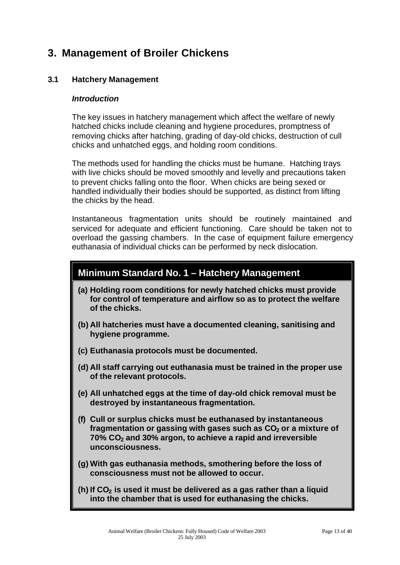# **3. Management of Broiler Chickens**

#### **3.1 Hatchery Management**

#### *Introduction*

The key issues in hatchery management which affect the welfare of newly hatched chicks include cleaning and hygiene procedures, promptness of removing chicks after hatching, grading of day-old chicks, destruction of cull chicks and unhatched eggs, and holding room conditions.

The methods used for handling the chicks must be humane. Hatching trays with live chicks should be moved smoothly and levelly and precautions taken to prevent chicks falling onto the floor. When chicks are being sexed or handled individually their bodies should be supported, as distinct from lifting the chicks by the head.

Instantaneous fragmentation units should be routinely maintained and serviced for adequate and efficient functioning. Care should be taken not to overload the gassing chambers. In the case of equipment failure emergency euthanasia of individual chicks can be performed by neck dislocation.

### **Minimum Standard No. 1 – Hatchery Management**

- **(a) Holding room conditions for newly hatched chicks must provide for control of temperature and airflow so as to protect the welfare of the chicks.**
- **(b) All hatcheries must have a documented cleaning, sanitising and hygiene programme.**
- **(c) Euthanasia protocols must be documented.**
- **(d) All staff carrying out euthanasia must be trained in the proper use of the relevant protocols.**
- **(e) All unhatched eggs at the time of day-old chick removal must be destroyed by instantaneous fragmentation.**
- **(f) Cull or surplus chicks must be euthanased by instantaneous fragmentation or gassing with gases such as CO2 or a mixture of 70% CO2 and 30% argon, to achieve a rapid and irreversible unconsciousness.**
- **(g) With gas euthanasia methods, smothering before the loss of consciousness must not be allowed to occur.**
- **(h) If CO2 is used it must be delivered as a gas rather than a liquid into the chamber that is used for euthanasing the chicks.**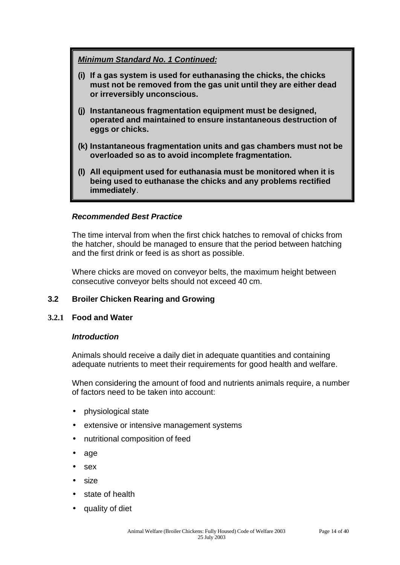#### *Minimum Standard No. 1 Continued:*

- **(i) If a gas system is used for euthanasing the chicks, the chicks must not be removed from the gas unit until they are either dead or irreversibly unconscious.**
- **(j) Instantaneous fragmentation equipment must be designed, operated and maintained to ensure instantaneous destruction of eggs or chicks.**
- **(k) Instantaneous fragmentation units and gas chambers must not be overloaded so as to avoid incomplete fragmentation.**
- **(l) All equipment used for euthanasia must be monitored when it is being used to euthanase the chicks and any problems rectified immediately**.

#### *Recommended Best Practice*

The time interval from when the first chick hatches to removal of chicks from the hatcher, should be managed to ensure that the period between hatching and the first drink or feed is as short as possible.

Where chicks are moved on conveyor belts, the maximum height between consecutive conveyor belts should not exceed 40 cm.

#### **3.2 Broiler Chicken Rearing and Growing**

#### **3.2.1 Food and Water**

#### *Introduction*

Animals should receive a daily diet in adequate quantities and containing adequate nutrients to meet their requirements for good health and welfare.

When considering the amount of food and nutrients animals require, a number of factors need to be taken into account:

- physiological state
- extensive or intensive management systems
- nutritional composition of feed
- age
- sex
- size
- state of health
- quality of diet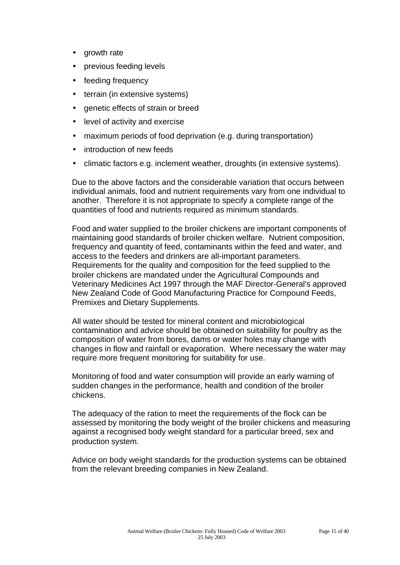- growth rate
- previous feeding levels
- feeding frequency
- terrain (in extensive systems)
- genetic effects of strain or breed
- level of activity and exercise
- maximum periods of food deprivation (e.g. during transportation)
- introduction of new feeds
- climatic factors e.g. inclement weather, droughts (in extensive systems).

Due to the above factors and the considerable variation that occurs between individual animals, food and nutrient requirements vary from one individual to another. Therefore it is not appropriate to specify a complete range of the quantities of food and nutrients required as minimum standards.

Food and water supplied to the broiler chickens are important components of maintaining good standards of broiler chicken welfare. Nutrient composition, frequency and quantity of feed, contaminants within the feed and water, and access to the feeders and drinkers are all-important parameters. Requirements for the quality and composition for the feed supplied to the broiler chickens are mandated under the Agricultural Compounds and Veterinary Medicines Act 1997 through the MAF Director-General's approved New Zealand Code of Good Manufacturing Practice for Compound Feeds, Premixes and Dietary Supplements.

All water should be tested for mineral content and microbiological contamination and advice should be obtained on suitability for poultry as the composition of water from bores, dams or water holes may change with changes in flow and rainfall or evaporation. Where necessary the water may require more frequent monitoring for suitability for use.

Monitoring of food and water consumption will provide an early warning of sudden changes in the performance, health and condition of the broiler chickens.

The adequacy of the ration to meet the requirements of the flock can be assessed by monitoring the body weight of the broiler chickens and measuring against a recognised body weight standard for a particular breed, sex and production system.

Advice on body weight standards for the production systems can be obtained from the relevant breeding companies in New Zealand.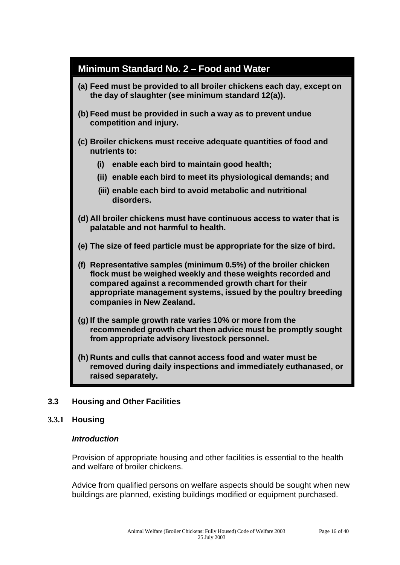

#### **3.3 Housing and Other Facilities**

#### **3.3.1 Housing**

#### *Introduction*

Provision of appropriate housing and other facilities is essential to the health and welfare of broiler chickens.

Advice from qualified persons on welfare aspects should be sought when new buildings are planned, existing buildings modified or equipment purchased.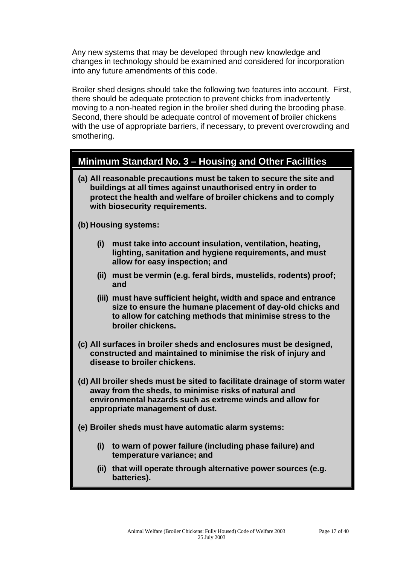Any new systems that may be developed through new knowledge and changes in technology should be examined and considered for incorporation into any future amendments of this code.

Broiler shed designs should take the following two features into account. First, there should be adequate protection to prevent chicks from inadvertently moving to a non-heated region in the broiler shed during the brooding phase. Second, there should be adequate control of movement of broiler chickens with the use of appropriate barriers, if necessary, to prevent overcrowding and smothering.

### **Minimum Standard No. 3 – Housing and Other Facilities**

**(a) All reasonable precautions must be taken to secure the site and buildings at all times against unauthorised entry in order to protect the health and welfare of broiler chickens and to comply with biosecurity requirements.**

**(b) Housing systems:**

- **(i) must take into account insulation, ventilation, heating, lighting, sanitation and hygiene requirements, and must allow for easy inspection; and**
- **(ii) must be vermin (e.g. feral birds, mustelids, rodents) proof; and**
- **(iii) must have sufficient height, width and space and entrance size to ensure the humane placement of day-old chicks and to allow for catching methods that minimise stress to the broiler chickens.**
- **(c) All surfaces in broiler sheds and enclosures must be designed, constructed and maintained to minimise the risk of injury and disease to broiler chickens.**
- **(d) All broiler sheds must be sited to facilitate drainage of storm water away from the sheds, to minimise risks of natural and environmental hazards such as extreme winds and allow for appropriate management of dust.**
- **(e) Broiler sheds must have automatic alarm systems:**
	- **(i) to warn of power failure (including phase failure) and temperature variance; and**
	- **(ii) that will operate through alternative power sources (e.g. batteries).**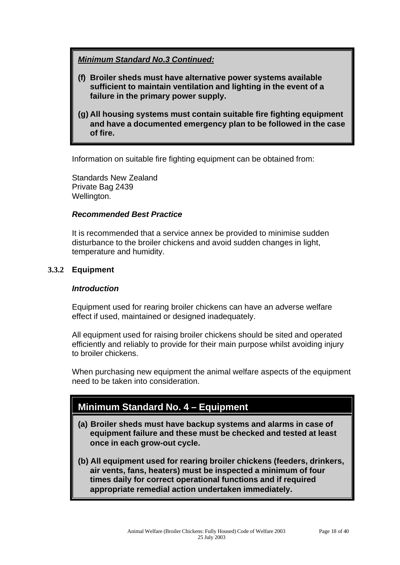#### *Minimum Standard No.3 Continued:*

- **(f) Broiler sheds must have alternative power systems available sufficient to maintain ventilation and lighting in the event of a failure in the primary power supply.**
- **(g) All housing systems must contain suitable fire fighting equipment and have a documented emergency plan to be followed in the case of fire.**

Information on suitable fire fighting equipment can be obtained from:

Standards New Zealand Private Bag 2439 Wellington.

#### *Recommended Best Practice*

It is recommended that a service annex be provided to minimise sudden disturbance to the broiler chickens and avoid sudden changes in light, temperature and humidity.

#### **3.3.2 Equipment**

#### *Introduction*

Equipment used for rearing broiler chickens can have an adverse welfare effect if used, maintained or designed inadequately.

All equipment used for raising broiler chickens should be sited and operated efficiently and reliably to provide for their main purpose whilst avoiding injury to broiler chickens.

When purchasing new equipment the animal welfare aspects of the equipment need to be taken into consideration.

# **Minimum Standard No. 4 – Equipment**

- **(a) Broiler sheds must have backup systems and alarms in case of equipment failure and these must be checked and tested at least once in each grow-out cycle.**
- **(b) All equipment used for rearing broiler chickens (feeders, drinkers, air vents, fans, heaters) must be inspected a minimum of four times daily for correct operational functions and if required appropriate remedial action undertaken immediately.**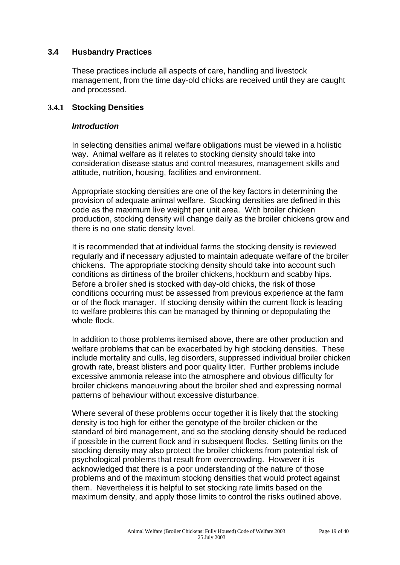#### **3.4 Husbandry Practices**

These practices include all aspects of care, handling and livestock management, from the time day-old chicks are received until they are caught and processed.

#### **3.4.1 Stocking Densities**

#### *Introduction*

In selecting densities animal welfare obligations must be viewed in a holistic way. Animal welfare as it relates to stocking density should take into consideration disease status and control measures, management skills and attitude, nutrition, housing, facilities and environment.

Appropriate stocking densities are one of the key factors in determining the provision of adequate animal welfare. Stocking densities are defined in this code as the maximum live weight per unit area. With broiler chicken production, stocking density will change daily as the broiler chickens grow and there is no one static density level.

It is recommended that at individual farms the stocking density is reviewed regularly and if necessary adjusted to maintain adequate welfare of the broiler chickens. The appropriate stocking density should take into account such conditions as dirtiness of the broiler chickens, hockburn and scabby hips. Before a broiler shed is stocked with day-old chicks, the risk of those conditions occurring must be assessed from previous experience at the farm or of the flock manager. If stocking density within the current flock is leading to welfare problems this can be managed by thinning or depopulating the whole flock.

In addition to those problems itemised above, there are other production and welfare problems that can be exacerbated by high stocking densities. These include mortality and culls, leg disorders, suppressed individual broiler chicken growth rate, breast blisters and poor quality litter. Further problems include excessive ammonia release into the atmosphere and obvious difficulty for broiler chickens manoeuvring about the broiler shed and expressing normal patterns of behaviour without excessive disturbance.

Where several of these problems occur together it is likely that the stocking density is too high for either the genotype of the broiler chicken or the standard of bird management, and so the stocking density should be reduced if possible in the current flock and in subsequent flocks. Setting limits on the stocking density may also protect the broiler chickens from potential risk of psychological problems that result from overcrowding. However it is acknowledged that there is a poor understanding of the nature of those problems and of the maximum stocking densities that would protect against them. Nevertheless it is helpful to set stocking rate limits based on the maximum density, and apply those limits to control the risks outlined above.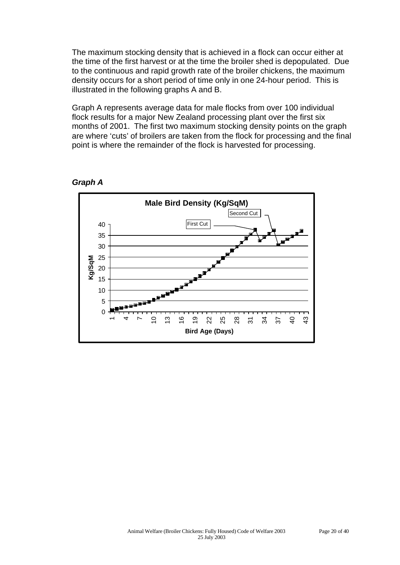The maximum stocking density that is achieved in a flock can occur either at the time of the first harvest or at the time the broiler shed is depopulated. Due to the continuous and rapid growth rate of the broiler chickens, the maximum density occurs for a short period of time only in one 24-hour period. This is illustrated in the following graphs A and B.

Graph A represents average data for male flocks from over 100 individual flock results for a major New Zealand processing plant over the first six months of 2001. The first two maximum stocking density points on the graph are where 'cuts' of broilers are taken from the flock for processing and the final point is where the remainder of the flock is harvested for processing.



*Graph A*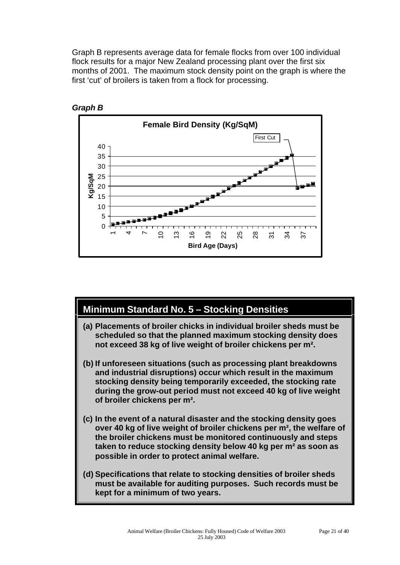Graph B represents average data for female flocks from over 100 individual flock results for a major New Zealand processing plant over the first six months of 2001. The maximum stock density point on the graph is where the first 'cut' of broilers is taken from a flock for processing.





# **Minimum Standard No. 5 – Stocking Densities**

- **(a) Placements of broiler chicks in individual broiler sheds must be scheduled so that the planned maximum stocking density does not exceed 38 kg of live weight of broiler chickens per m².**
- **(b) If unforeseen situations (such as processing plant breakdowns and industrial disruptions) occur which result in the maximum stocking density being temporarily exceeded, the stocking rate during the grow-out period must not exceed 40 kg of live weight of broiler chickens per m².**
- **(c) In the event of a natural disaster and the stocking density goes over 40 kg of live weight of broiler chickens per m², the welfare of the broiler chickens must be monitored continuously and steps taken to reduce stocking density below 40 kg per m² as soon as possible in order to protect animal welfare.**
- **(d) Specifications that relate to stocking densities of broiler sheds must be available for auditing purposes. Such records must be kept for a minimum of two years.**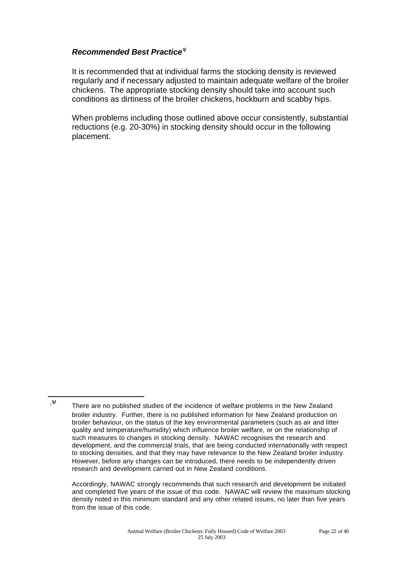#### *Recommended Best Practice<sup>y</sup>*

l

It is recommended that at individual farms the stocking density is reviewed regularly and if necessary adjusted to maintain adequate welfare of the broiler chickens. The appropriate stocking density should take into account such conditions as dirtiness of the broiler chickens, hockburn and scabby hips.

When problems including those outlined above occur consistently, substantial reductions (e.g. 20-30%) in stocking density should occur in the following placement.

<sup>1</sup>Ψ There are no published studies of the incidence of welfare problems in the New Zealand broiler industry. Further, there is no published information for New Zealand production on broiler behaviour, on the status of the key environmental parameters (such as air and litter quality and temperature/humidity) which influence broiler welfare, or on the relationship of such measures to changes in stocking density. NAWAC recognises the research and development, and the commercial trials, that are being conducted internationally with respect to stocking densities, and that they may have relevance to the New Zealand broiler industry. However, before any changes can be introduced, there needs to be independently driven research and development carried out in New Zealand conditions.

Accordingly, NAWAC strongly recommends that such research and development be initiated and completed five years of the issue of this code. NAWAC will review the maximum stocking density noted in this minimum standard and any other related issues, no later than five years from the issue of this code.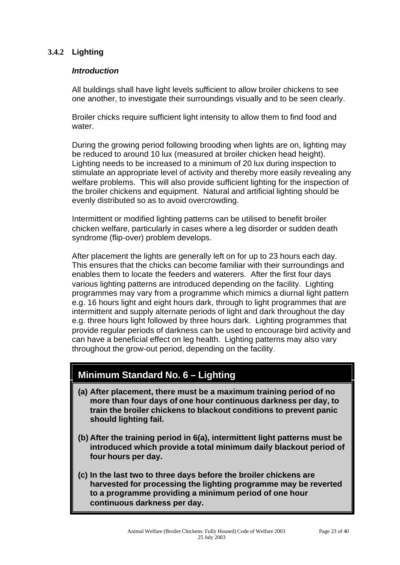#### **3.4.2 Lighting**

#### *Introduction*

All buildings shall have light levels sufficient to allow broiler chickens to see one another, to investigate their surroundings visually and to be seen clearly.

Broiler chicks require sufficient light intensity to allow them to find food and water.

During the growing period following brooding when lights are on, lighting may be reduced to around 10 lux (measured at broiler chicken head height). Lighting needs to be increased to a minimum of 20 lux during inspection to stimulate an appropriate level of activity and thereby more easily revealing any welfare problems. This will also provide sufficient lighting for the inspection of the broiler chickens and equipment. Natural and artificial lighting should be evenly distributed so as to avoid overcrowding.

Intermittent or modified lighting patterns can be utilised to benefit broiler chicken welfare, particularly in cases where a leg disorder or sudden death syndrome (flip-over) problem develops.

After placement the lights are generally left on for up to 23 hours each day. This ensures that the chicks can become familiar with their surroundings and enables them to locate the feeders and waterers. After the first four days various lighting patterns are introduced depending on the facility. Lighting programmes may vary from a programme which mimics a diurnal light pattern e.g. 16 hours light and eight hours dark, through to light programmes that are intermittent and supply alternate periods of light and dark throughout the day e.g. three hours light followed by three hours dark. Lighting programmes that provide regular periods of darkness can be used to encourage bird activity and can have a beneficial effect on leg health. Lighting patterns may also vary throughout the grow-out period, depending on the facility.

### **Minimum Standard No. 6 – Lighting**

- **(a) After placement, there must be a maximum training period of no more than four days of one hour continuous darkness per day, to train the broiler chickens to blackout conditions to prevent panic should lighting fail.**
- **(b) After the training period in 6(a), intermittent light patterns must be introduced which provide a total minimum daily blackout period of four hours per day.**
- **(c) In the last two to three days before the broiler chickens are harvested for processing the lighting programme may be reverted to a programme providing a minimum period of one hour continuous darkness per day.**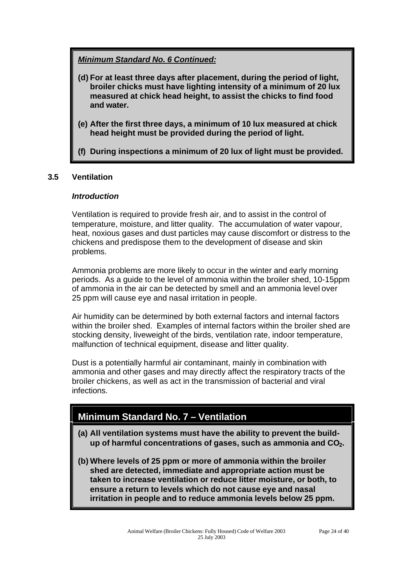*Minimum Standard No. 6 Continued:*

- **(d) For at least three days after placement, during the period of light, broiler chicks must have lighting intensity of a minimum of 20 lux measured at chick head height, to assist the chicks to find food and water.**
- **(e) After the first three days, a minimum of 10 lux measured at chick head height must be provided during the period of light.**
- **(f) During inspections a minimum of 20 lux of light must be provided.**

#### **3.5 Ventilation**

#### *Introduction*

Ventilation is required to provide fresh air, and to assist in the control of temperature, moisture, and litter quality. The accumulation of water vapour, heat, noxious gases and dust particles may cause discomfort or distress to the chickens and predispose them to the development of disease and skin problems.

Ammonia problems are more likely to occur in the winter and early morning periods. As a guide to the level of ammonia within the broiler shed, 10-15ppm of ammonia in the air can be detected by smell and an ammonia level over 25 ppm will cause eye and nasal irritation in people.

Air humidity can be determined by both external factors and internal factors within the broiler shed. Examples of internal factors within the broiler shed are stocking density, liveweight of the birds, ventilation rate, indoor temperature, malfunction of technical equipment, disease and litter quality.

Dust is a potentially harmful air contaminant, mainly in combination with ammonia and other gases and may directly affect the respiratory tracts of the broiler chickens, as well as act in the transmission of bacterial and viral infections.

# **Minimum Standard No. 7 – Ventilation**

- **(a) All ventilation systems must have the ability to prevent the buildup of harmful concentrations of gases, such as ammonia and CO2.**
- **(b) Where levels of 25 ppm or more of ammonia within the broiler shed are detected, immediate and appropriate action must be taken to increase ventilation or reduce litter moisture, or both, to ensure a return to levels which do not cause eye and nasal irritation in people and to reduce ammonia levels below 25 ppm.**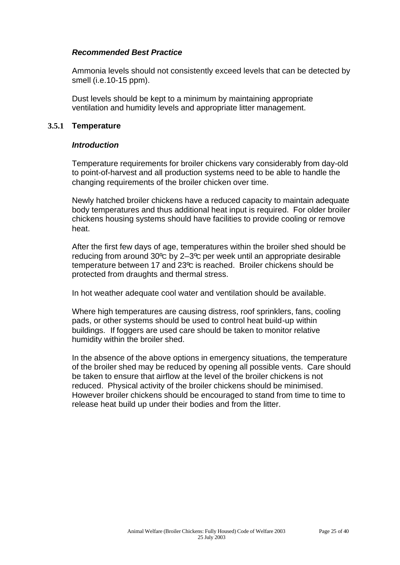#### *Recommended Best Practice*

Ammonia levels should not consistently exceed levels that can be detected by smell (i.e.10-15 ppm).

Dust levels should be kept to a minimum by maintaining appropriate ventilation and humidity levels and appropriate litter management.

#### **3.5.1 Temperature**

#### *Introduction*

Temperature requirements for broiler chickens vary considerably from day-old to point-of-harvest and all production systems need to be able to handle the changing requirements of the broiler chicken over time.

Newly hatched broiler chickens have a reduced capacity to maintain adequate body temperatures and thus additional heat input is required. For older broiler chickens housing systems should have facilities to provide cooling or remove heat.

After the first few days of age, temperatures within the broiler shed should be reducing from around 30ºC by 2–3ºC per week until an appropriate desirable temperature between 17 and 23°C is reached. Broiler chickens should be protected from draughts and thermal stress.

In hot weather adequate cool water and ventilation should be available.

Where high temperatures are causing distress, roof sprinklers, fans, cooling pads, or other systems should be used to control heat build-up within buildings. If foggers are used care should be taken to monitor relative humidity within the broiler shed.

In the absence of the above options in emergency situations, the temperature of the broiler shed may be reduced by opening all possible vents. Care should be taken to ensure that airflow at the level of the broiler chickens is not reduced. Physical activity of the broiler chickens should be minimised. However broiler chickens should be encouraged to stand from time to time to release heat build up under their bodies and from the litter.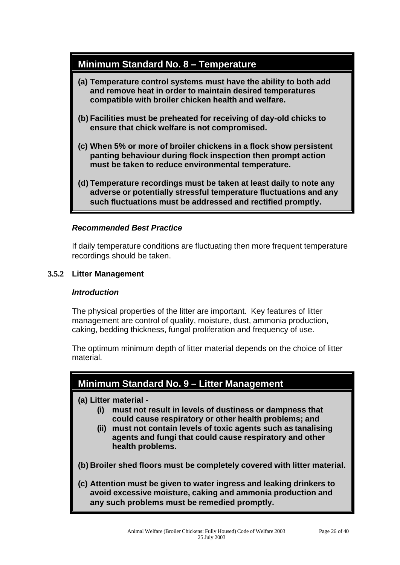### **Minimum Standard No. 8 – Temperature**

- **(a) Temperature control systems must have the ability to both add and remove heat in order to maintain desired temperatures compatible with broiler chicken health and welfare.**
- **(b) Facilities must be preheated for receiving of day-old chicks to ensure that chick welfare is not compromised.**
- **(c) When 5% or more of broiler chickens in a flock show persistent panting behaviour during flock inspection then prompt action must be taken to reduce environmental temperature.**
- **(d) Temperature recordings must be taken at least daily to note any adverse or potentially stressful temperature fluctuations and any such fluctuations must be addressed and rectified promptly.**

#### *Recommended Best Practice*

If daily temperature conditions are fluctuating then more frequent temperature recordings should be taken.

#### **3.5.2 Litter Management**

#### *Introduction*

The physical properties of the litter are important. Key features of litter management are control of quality, moisture, dust, ammonia production, caking, bedding thickness, fungal proliferation and frequency of use.

The optimum minimum depth of litter material depends on the choice of litter material.

### **Minimum Standard No. 9 – Litter Management**

#### **(a) Litter material -**

- **(i) must not result in levels of dustiness or dampness that could cause respiratory or other health problems; and**
- **(ii) must not contain levels of toxic agents such as tanalising agents and fungi that could cause respiratory and other health problems.**

**(b) Broiler shed floors must be completely covered with litter material.**

**(c) Attention must be given to water ingress and leaking drinkers to avoid excessive moisture, caking and ammonia production and any such problems must be remedied promptly.**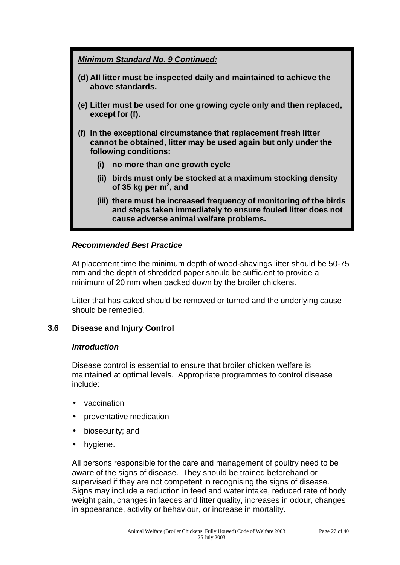*Minimum Standard No. 9 Continued:*

- **(d) All litter must be inspected daily and maintained to achieve the above standards.**
- **(e) Litter must be used for one growing cycle only and then replaced, except for (f).**
- **(f) In the exceptional circumstance that replacement fresh litter cannot be obtained, litter may be used again but only under the following conditions:**
	- **(i) no more than one growth cycle**
	- **(ii) birds must only be stocked at a maximum stocking density of 35 kg per m<sup>2</sup> , and**
	- **(iii) there must be increased frequency of monitoring of the birds and steps taken immediately to ensure fouled litter does not cause adverse animal welfare problems.**

#### *Recommended Best Practice*

At placement time the minimum depth of wood-shavings litter should be 50-75 mm and the depth of shredded paper should be sufficient to provide a minimum of 20 mm when packed down by the broiler chickens.

Litter that has caked should be removed or turned and the underlying cause should be remedied.

#### **3.6 Disease and Injury Control**

#### *Introduction*

Disease control is essential to ensure that broiler chicken welfare is maintained at optimal levels. Appropriate programmes to control disease include:

- vaccination
- preventative medication
- biosecurity; and
- hygiene.

All persons responsible for the care and management of poultry need to be aware of the signs of disease. They should be trained beforehand or supervised if they are not competent in recognising the signs of disease. Signs may include a reduction in feed and water intake, reduced rate of body weight gain, changes in faeces and litter quality, increases in odour, changes in appearance, activity or behaviour, or increase in mortality.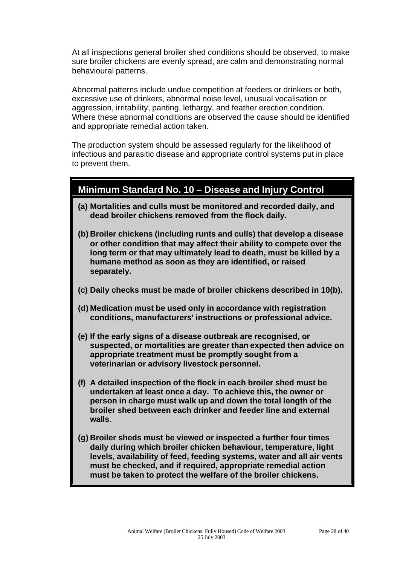At all inspections general broiler shed conditions should be observed, to make sure broiler chickens are evenly spread, are calm and demonstrating normal behavioural patterns.

Abnormal patterns include undue competition at feeders or drinkers or both, excessive use of drinkers, abnormal noise level, unusual vocalisation or aggression, irritability, panting, lethargy, and feather erection condition. Where these abnormal conditions are observed the cause should be identified and appropriate remedial action taken.

The production system should be assessed regularly for the likelihood of infectious and parasitic disease and appropriate control systems put in place to prevent them.

### **Minimum Standard No. 10 – Disease and Injury Control**

- **(a) Mortalities and culls must be monitored and recorded daily, and dead broiler chickens removed from the flock daily.**
- **(b) Broiler chickens (including runts and culls) that develop a disease or other condition that may affect their ability to compete over the long term or that may ultimately lead to death, must be killed by a humane method as soon as they are identified, or raised separately.**
- **(c) Daily checks must be made of broiler chickens described in 10(b).**
- **(d) Medication must be used only in accordance with registration conditions, manufacturers' instructions or professional advice.**
- **(e) If the early signs of a disease outbreak are recognised, or suspected, or mortalities are greater than expected then advice on appropriate treatment must be promptly sought from a veterinarian or advisory livestock personnel.**
- **(f) A detailed inspection of the flock in each broiler shed must be undertaken at least once a day. To achieve this, the owner or person in charge must walk up and down the total length of the broiler shed between each drinker and feeder line and external walls**.
- **(g) Broiler sheds must be viewed or inspected a further four times daily during which broiler chicken behaviour, temperature, light levels, availability of feed, feeding systems, water and all air vents must be checked, and if required, appropriate remedial action must be taken to protect the welfare of the broiler chickens.**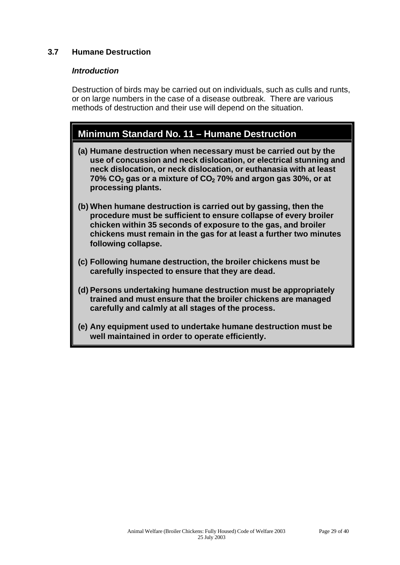#### **3.7 Humane Destruction**

#### *Introduction*

Destruction of birds may be carried out on individuals, such as culls and runts, or on large numbers in the case of a disease outbreak. There are various methods of destruction and their use will depend on the situation.

### **Minimum Standard No. 11 – Humane Destruction**

- **(a) Humane destruction when necessary must be carried out by the use of concussion and neck dislocation, or electrical stunning and neck dislocation, or neck dislocation, or euthanasia with at least 70% CO2 gas or a mixture of CO2 70% and argon gas 30%, or at processing plants.**
- **(b) When humane destruction is carried out by gassing, then the procedure must be sufficient to ensure collapse of every broiler chicken within 35 seconds of exposure to the gas, and broiler chickens must remain in the gas for at least a further two minutes following collapse.**
- **(c) Following humane destruction, the broiler chickens must be carefully inspected to ensure that they are dead.**
- **(d) Persons undertaking humane destruction must be appropriately trained and must ensure that the broiler chickens are managed carefully and calmly at all stages of the process.**
- **(e) Any equipment used to undertake humane destruction must be well maintained in order to operate efficiently.**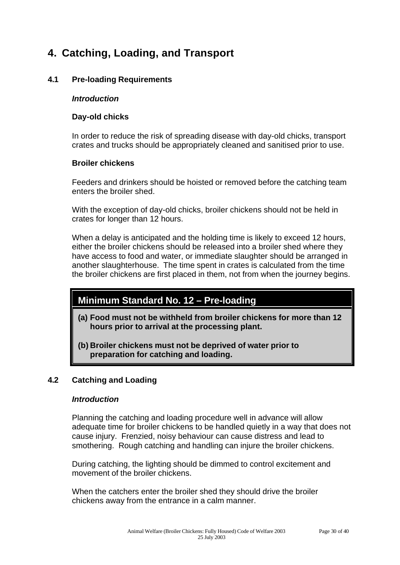# **4. Catching, Loading, and Transport**

#### **4.1 Pre-loading Requirements**

#### *Introduction*

#### **Day-old chicks**

In order to reduce the risk of spreading disease with day-old chicks, transport crates and trucks should be appropriately cleaned and sanitised prior to use.

#### **Broiler chickens**

Feeders and drinkers should be hoisted or removed before the catching team enters the broiler shed.

With the exception of day-old chicks, broiler chickens should not be held in crates for longer than 12 hours.

When a delay is anticipated and the holding time is likely to exceed 12 hours, either the broiler chickens should be released into a broiler shed where they have access to food and water, or immediate slaughter should be arranged in another slaughterhouse. The time spent in crates is calculated from the time the broiler chickens are first placed in them, not from when the journey begins.

# **Minimum Standard No. 12 – Pre-loading**

- **(a) Food must not be withheld from broiler chickens for more than 12 hours prior to arrival at the processing plant.**
- **(b) Broiler chickens must not be deprived of water prior to preparation for catching and loading.**

#### **4.2 Catching and Loading**

#### *Introduction*

Planning the catching and loading procedure well in advance will allow adequate time for broiler chickens to be handled quietly in a way that does not cause injury. Frenzied, noisy behaviour can cause distress and lead to smothering. Rough catching and handling can injure the broiler chickens.

During catching, the lighting should be dimmed to control excitement and movement of the broiler chickens.

When the catchers enter the broiler shed they should drive the broiler chickens away from the entrance in a calm manner.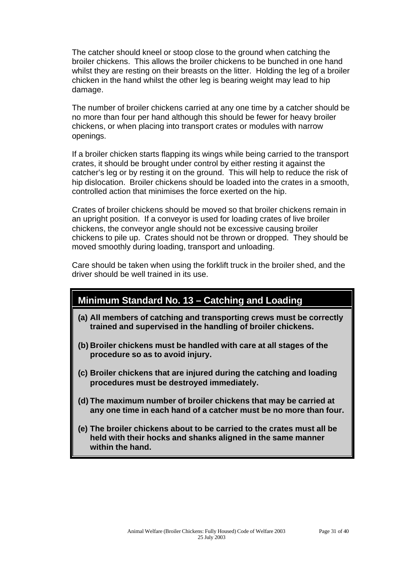The catcher should kneel or stoop close to the ground when catching the broiler chickens. This allows the broiler chickens to be bunched in one hand whilst they are resting on their breasts on the litter. Holding the leg of a broiler chicken in the hand whilst the other leg is bearing weight may lead to hip damage.

The number of broiler chickens carried at any one time by a catcher should be no more than four per hand although this should be fewer for heavy broiler chickens, or when placing into transport crates or modules with narrow openings.

If a broiler chicken starts flapping its wings while being carried to the transport crates, it should be brought under control by either resting it against the catcher's leg or by resting it on the ground. This will help to reduce the risk of hip dislocation. Broiler chickens should be loaded into the crates in a smooth, controlled action that minimises the force exerted on the hip.

Crates of broiler chickens should be moved so that broiler chickens remain in an upright position. If a conveyor is used for loading crates of live broiler chickens, the conveyor angle should not be excessive causing broiler chickens to pile up. Crates should not be thrown or dropped. They should be moved smoothly during loading, transport and unloading.

Care should be taken when using the forklift truck in the broiler shed, and the driver should be well trained in its use.

# **Minimum Standard No. 13 – Catching and Loading**

- **(a) All members of catching and transporting crews must be correctly trained and supervised in the handling of broiler chickens.**
- **(b) Broiler chickens must be handled with care at all stages of the procedure so as to avoid injury.**
- **(c) Broiler chickens that are injured during the catching and loading procedures must be destroyed immediately.**
- **(d) The maximum number of broiler chickens that may be carried at any one time in each hand of a catcher must be no more than four.**
- **(e) The broiler chickens about to be carried to the crates must all be held with their hocks and shanks aligned in the same manner within the hand.**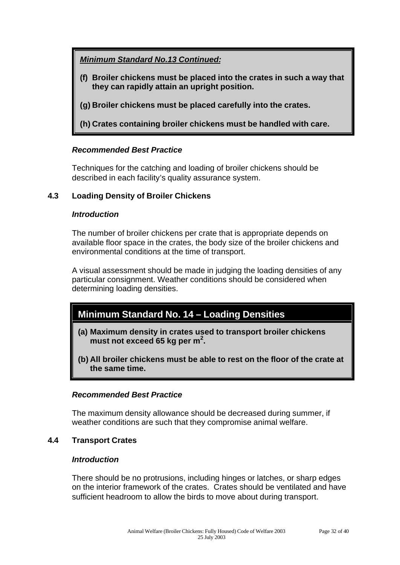*Minimum Standard No.13 Continued:*

- **(f) Broiler chickens must be placed into the crates in such a way that they can rapidly attain an upright position.**
- **(g) Broiler chickens must be placed carefully into the crates.**
- **(h) Crates containing broiler chickens must be handled with care.**

#### *Recommended Best Practice*

Techniques for the catching and loading of broiler chickens should be described in each facility's quality assurance system.

#### **4.3 Loading Density of Broiler Chickens**

#### *Introduction*

The number of broiler chickens per crate that is appropriate depends on available floor space in the crates, the body size of the broiler chickens and environmental conditions at the time of transport.

A visual assessment should be made in judging the loading densities of any particular consignment. Weather conditions should be considered when determining loading densities.

# **Minimum Standard No. 14 – Loading Densities**

- **(a) Maximum density in crates used to transport broiler chickens must not exceed 65 kg per m<sup>2</sup> .**
- **(b) All broiler chickens must be able to rest on the floor of the crate at the same time.**

#### *Recommended Best Practice*

The maximum density allowance should be decreased during summer, if weather conditions are such that they compromise animal welfare.

#### **4.4 Transport Crates**

#### *Introduction*

There should be no protrusions, including hinges or latches, or sharp edges on the interior framework of the crates. Crates should be ventilated and have sufficient headroom to allow the birds to move about during transport.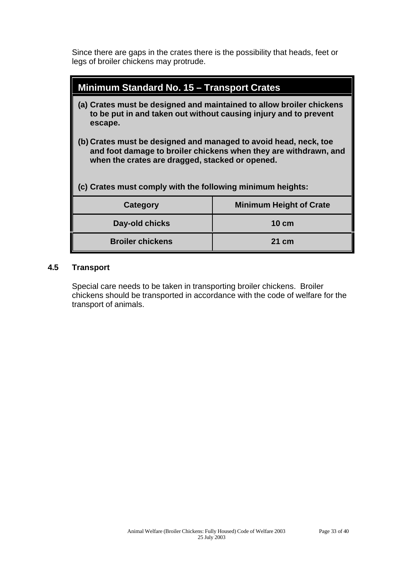Since there are gaps in the crates there is the possibility that heads, feet or legs of broiler chickens may protrude.

| Minimum Standard No. 15 – Transport Crates                                                                                                                                                                                                            |                                |  |  |  |  |
|-------------------------------------------------------------------------------------------------------------------------------------------------------------------------------------------------------------------------------------------------------|--------------------------------|--|--|--|--|
| (a) Crates must be designed and maintained to allow broiler chickens<br>to be put in and taken out without causing injury and to prevent<br>escape.                                                                                                   |                                |  |  |  |  |
| (b) Crates must be designed and managed to avoid head, neck, toe<br>and foot damage to broiler chickens when they are withdrawn, and<br>when the crates are dragged, stacked or opened.<br>(c) Crates must comply with the following minimum heights: |                                |  |  |  |  |
| Category                                                                                                                                                                                                                                              | <b>Minimum Height of Crate</b> |  |  |  |  |
| Day-old chicks                                                                                                                                                                                                                                        | <b>10 cm</b>                   |  |  |  |  |
| <b>Broiler chickens</b>                                                                                                                                                                                                                               | 21 cm                          |  |  |  |  |

#### **4.5 Transport**

Special care needs to be taken in transporting broiler chickens. Broiler chickens should be transported in accordance with the code of welfare for the transport of animals.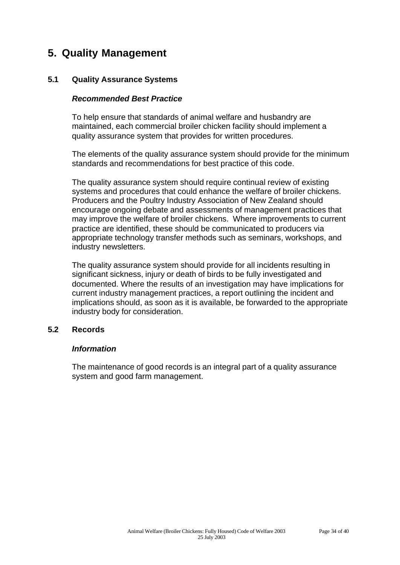# **5. Quality Management**

#### **5.1 Quality Assurance Systems**

#### *Recommended Best Practice*

To help ensure that standards of animal welfare and husbandry are maintained, each commercial broiler chicken facility should implement a quality assurance system that provides for written procedures.

The elements of the quality assurance system should provide for the minimum standards and recommendations for best practice of this code.

The quality assurance system should require continual review of existing systems and procedures that could enhance the welfare of broiler chickens. Producers and the Poultry Industry Association of New Zealand should encourage ongoing debate and assessments of management practices that may improve the welfare of broiler chickens. Where improvements to current practice are identified, these should be communicated to producers via appropriate technology transfer methods such as seminars, workshops, and industry newsletters.

The quality assurance system should provide for all incidents resulting in significant sickness, injury or death of birds to be fully investigated and documented. Where the results of an investigation may have implications for current industry management practices, a report outlining the incident and implications should, as soon as it is available, be forwarded to the appropriate industry body for consideration.

#### **5.2 Records**

#### *Information*

The maintenance of good records is an integral part of a quality assurance system and good farm management.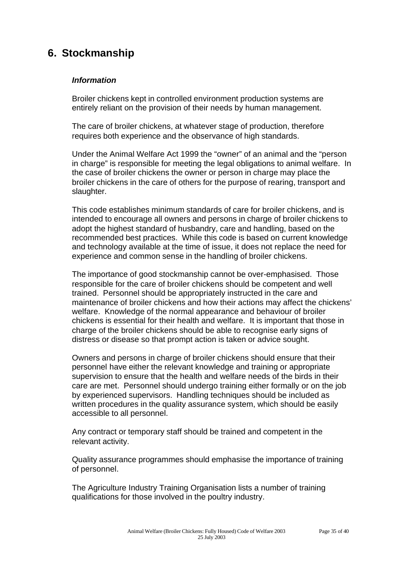# **6. Stockmanship**

#### *Information*

Broiler chickens kept in controlled environment production systems are entirely reliant on the provision of their needs by human management.

The care of broiler chickens, at whatever stage of production, therefore requires both experience and the observance of high standards.

Under the Animal Welfare Act 1999 the "owner" of an animal and the "person in charge" is responsible for meeting the legal obligations to animal welfare. In the case of broiler chickens the owner or person in charge may place the broiler chickens in the care of others for the purpose of rearing, transport and slaughter.

This code establishes minimum standards of care for broiler chickens, and is intended to encourage all owners and persons in charge of broiler chickens to adopt the highest standard of husbandry, care and handling, based on the recommended best practices. While this code is based on current knowledge and technology available at the time of issue, it does not replace the need for experience and common sense in the handling of broiler chickens.

The importance of good stockmanship cannot be over-emphasised. Those responsible for the care of broiler chickens should be competent and well trained. Personnel should be appropriately instructed in the care and maintenance of broiler chickens and how their actions may affect the chickens' welfare. Knowledge of the normal appearance and behaviour of broiler chickens is essential for their health and welfare. It is important that those in charge of the broiler chickens should be able to recognise early signs of distress or disease so that prompt action is taken or advice sought.

Owners and persons in charge of broiler chickens should ensure that their personnel have either the relevant knowledge and training or appropriate supervision to ensure that the health and welfare needs of the birds in their care are met. Personnel should undergo training either formally or on the job by experienced supervisors. Handling techniques should be included as written procedures in the quality assurance system, which should be easily accessible to all personnel.

Any contract or temporary staff should be trained and competent in the relevant activity.

Quality assurance programmes should emphasise the importance of training of personnel.

The Agriculture Industry Training Organisation lists a number of training qualifications for those involved in the poultry industry.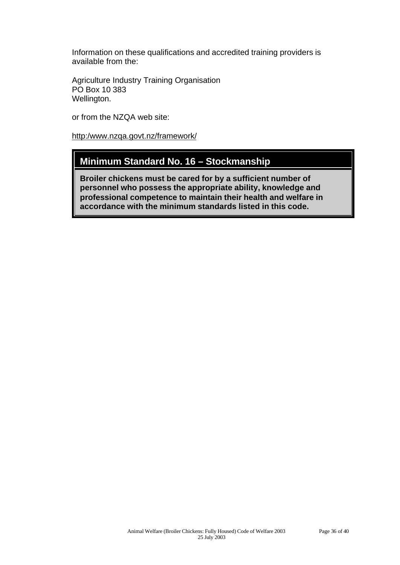Information on these qualifications and accredited training providers is available from the:

Agriculture Industry Training Organisation PO Box 10 383 Wellington.

or from the NZQA web site:

<http:/www.nzqa.govt.nz/framework/>

### **Minimum Standard No. 16 – Stockmanship**

**Broiler chickens must be cared for by a sufficient number of personnel who possess the appropriate ability, knowledge and professional competence to maintain their health and welfare in accordance with the minimum standards listed in this code.**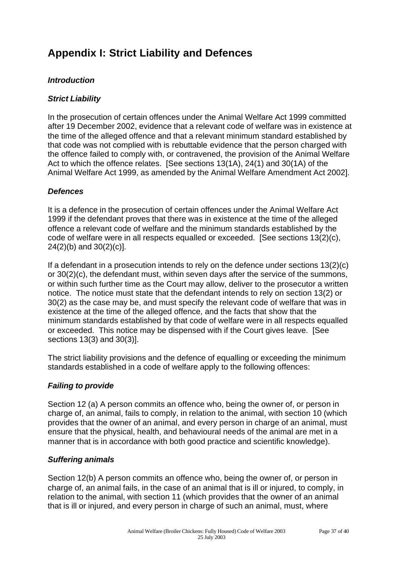# **Appendix I: Strict Liability and Defences**

#### *Introduction*

#### *Strict Liability*

In the prosecution of certain offences under the Animal Welfare Act 1999 committed after 19 December 2002, evidence that a relevant code of welfare was in existence at the time of the alleged offence and that a relevant minimum standard established by that code was not complied with is rebuttable evidence that the person charged with the offence failed to comply with, or contravened, the provision of the Animal Welfare Act to which the offence relates. [See sections 13(1A), 24(1) and 30(1A) of the Animal Welfare Act 1999, as amended by the Animal Welfare Amendment Act 2002].

#### *Defences*

It is a defence in the prosecution of certain offences under the Animal Welfare Act 1999 if the defendant proves that there was in existence at the time of the alleged offence a relevant code of welfare and the minimum standards established by the code of welfare were in all respects equalled or exceeded. [See sections 13(2)(c), 24(2)(b) and 30(2)(c)].

If a defendant in a prosecution intends to rely on the defence under sections 13(2)(c) or 30(2)(c), the defendant must, within seven days after the service of the summons, or within such further time as the Court may allow, deliver to the prosecutor a written notice. The notice must state that the defendant intends to rely on section 13(2) or 30(2) as the case may be, and must specify the relevant code of welfare that was in existence at the time of the alleged offence, and the facts that show that the minimum standards established by that code of welfare were in all respects equalled or exceeded. This notice may be dispensed with if the Court gives leave. [See sections 13(3) and 30(3)].

The strict liability provisions and the defence of equalling or exceeding the minimum standards established in a code of welfare apply to the following offences:

#### *Failing to provide*

Section 12 (a) A person commits an offence who, being the owner of, or person in charge of, an animal, fails to comply, in relation to the animal, with section 10 (which provides that the owner of an animal, and every person in charge of an animal, must ensure that the physical, health, and behavioural needs of the animal are met in a manner that is in accordance with both good practice and scientific knowledge).

#### *Suffering animals*

Section 12(b) A person commits an offence who, being the owner of, or person in charge of, an animal fails, in the case of an animal that is ill or injured, to comply, in relation to the animal, with section 11 (which provides that the owner of an animal that is ill or injured, and every person in charge of such an animal, must, where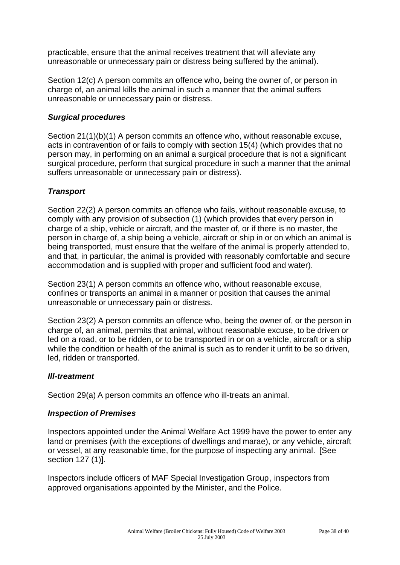practicable, ensure that the animal receives treatment that will alleviate any unreasonable or unnecessary pain or distress being suffered by the animal).

Section 12(c) A person commits an offence who, being the owner of, or person in charge of, an animal kills the animal in such a manner that the animal suffers unreasonable or unnecessary pain or distress.

#### *Surgical procedures*

Section 21(1)(b)(1) A person commits an offence who, without reasonable excuse, acts in contravention of or fails to comply with section 15(4) (which provides that no person may, in performing on an animal a surgical procedure that is not a significant surgical procedure, perform that surgical procedure in such a manner that the animal suffers unreasonable or unnecessary pain or distress).

#### *Transport*

Section 22(2) A person commits an offence who fails, without reasonable excuse, to comply with any provision of subsection (1) (which provides that every person in charge of a ship, vehicle or aircraft, and the master of, or if there is no master, the person in charge of, a ship being a vehicle, aircraft or ship in or on which an animal is being transported, must ensure that the welfare of the animal is properly attended to, and that, in particular, the animal is provided with reasonably comfortable and secure accommodation and is supplied with proper and sufficient food and water).

Section 23(1) A person commits an offence who, without reasonable excuse, confines or transports an animal in a manner or position that causes the animal unreasonable or unnecessary pain or distress.

Section 23(2) A person commits an offence who, being the owner of, or the person in charge of, an animal, permits that animal, without reasonable excuse, to be driven or led on a road, or to be ridden, or to be transported in or on a vehicle, aircraft or a ship while the condition or health of the animal is such as to render it unfit to be so driven, led, ridden or transported.

#### *Ill-treatment*

Section 29(a) A person commits an offence who ill-treats an animal.

#### *Inspection of Premises*

Inspectors appointed under the Animal Welfare Act 1999 have the power to enter any land or premises (with the exceptions of dwellings and marae), or any vehicle, aircraft or vessel, at any reasonable time, for the purpose of inspecting any animal. [See section 127 (1)].

Inspectors include officers of MAF Special Investigation Group, inspectors from approved organisations appointed by the Minister, and the Police.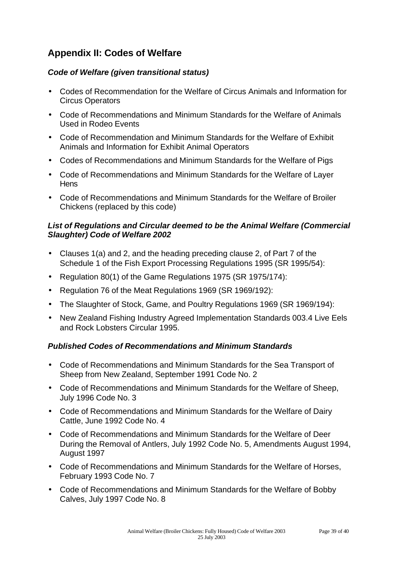# **Appendix II: Codes of Welfare**

#### *Code of Welfare (given transitional status)*

- Codes of Recommendation for the Welfare of Circus Animals and Information for Circus Operators
- Code of Recommendations and Minimum Standards for the Welfare of Animals Used in Rodeo Events
- Code of Recommendation and Minimum Standards for the Welfare of Exhibit Animals and Information for Exhibit Animal Operators
- Codes of Recommendations and Minimum Standards for the Welfare of Pigs
- Code of Recommendations and Minimum Standards for the Welfare of Layer **Hens**
- Code of Recommendations and Minimum Standards for the Welfare of Broiler Chickens (replaced by this code)

#### *List of Regulations and Circular deemed to be the Animal Welfare (Commercial Slaughter) Code of Welfare 2002*

- Clauses 1(a) and 2, and the heading preceding clause 2, of Part 7 of the Schedule 1 of the Fish Export Processing Regulations 1995 (SR 1995/54):
- Regulation 80(1) of the Game Regulations 1975 (SR 1975/174):
- Regulation 76 of the Meat Regulations 1969 (SR 1969/192):
- The Slaughter of Stock, Game, and Poultry Regulations 1969 (SR 1969/194):
- New Zealand Fishing Industry Agreed Implementation Standards 003.4 Live Eels and Rock Lobsters Circular 1995.

#### *Published Codes of Recommendations and Minimum Standards*

- Code of Recommendations and Minimum Standards for the Sea Transport of Sheep from New Zealand, September 1991 Code No. 2
- Code of Recommendations and Minimum Standards for the Welfare of Sheep, July 1996 Code No. 3
- Code of Recommendations and Minimum Standards for the Welfare of Dairy Cattle, June 1992 Code No. 4
- Code of Recommendations and Minimum Standards for the Welfare of Deer During the Removal of Antlers, July 1992 Code No. 5, Amendments August 1994, August 1997
- Code of Recommendations and Minimum Standards for the Welfare of Horses, February 1993 Code No. 7
- Code of Recommendations and Minimum Standards for the Welfare of Bobby Calves, July 1997 Code No. 8